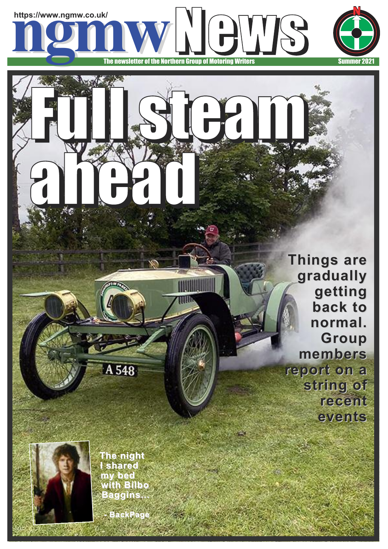

Full steam

ahead

Ж

**Things are gradually getting back to normal. Group members report on a string of recent events**



**The night I shared my bed with Bilbo Baggins** 

A 548

**- BackPage**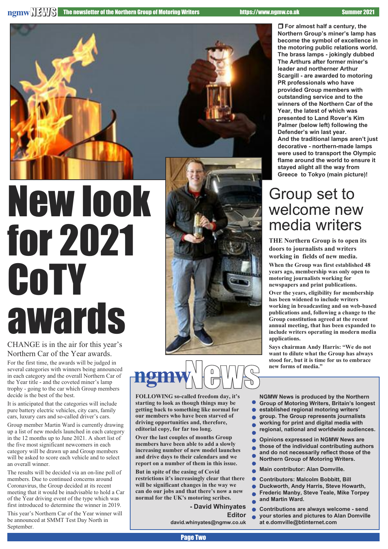

# for 2021 CoTY awards

CHANGE is in the air for this year's Northern Car of the Year awards. For the first time, the awards will be judged in several categories with winners being announced in each category and the overall Northern Car of the Year title - and the coveted miner's lamp trophy - going to the car which Group members decide is the best of the best.

It is anticipated that the categories will include pure battery electric vehicles, city cars, family cars, luxury cars and so-called driver's cars.

Group member Martin Ward is currently drawing up a list of new models launched in each category in the 12 months up to June 2021. A short list of the five most significant newcomers in each category will be drawn up and Group members will be asked to score each vehicle and to select an overall winner.

The results will be decided via an on-line poll of members. Due to continued concerns around Coronavirus, the Group decided at its recent meeting that it would be inadvisable to hold a Car of the Year driving event of the type which was first introduced to determine the winner in 2019.

This year's Northern Car of the Year winner will be announced at SMMT Test Day North in September.



## **ngmw**NeWS

**FOLLOWING so-called freedom day, it's starting to look as though things may be getting back to something like normal for our members who have been starved of driving opportunities and, therefore, editorial copy, for far too long.**

**Over the last couples of months Group members have been able to add a slowly increasing number of new model launches and drive days to their calendars and we report on a number of them in this issue.**

**But in spite of the easing of Covid restrictions it's increasingly clear that there will be significant changes in the way we can do our jobs and that there's now a new normal for the UK's motoring scribes.**

**- David Whinyates**

**Editor**

**david.whinyates@ngmw.co.uk**

r **For almost half a century, the Northern Group's miner's lamp has become the symbol of excellence in the motoring public relations world. The brass lamps - jokingly dubbed The Arthurs after former miner's leader and northerner Arthur Scargill - are awarded to motoring PR professionals who have provided Group members with outstanding service and to the winners of the Northern Car of the Year, the latest of which was presented to Land Rover's Kim Palmer (below left) following the Defender's win last year. And the traditional lamps aren't just decorative - northern-made lamps were used to transport the Olympic flame around the world to ensure it stayed alight all the way from Greece to Tokyo (main picture)!**

## Group set to welcome new media writers

**THE Northern Group is to open its doors to journalists and writers working in fields of new media.**

**When the Group was first established 48 years ago, membership was only open to motoring journalists working for newspapers and print publications.**

**Over the years, eligibility for membership has been widened to include writers working in broadcasting and on web-based publications and, following a change to the Group constitution agreed at the recent annual meeting, that has been expanded to include writers operating in modern media applications.**

**Says chairman Andy Harris: "We do not want to dilute what the Group has always stood for, but it is time for us to embrace new forms of media."**

**NGMW News is produced by the Northern Group of Motoring Writers, Britain's longest**

- **established regional motoring writers'**
- **group. The Group represents journalists**
- **working for print and digital media with**
- **regional, national and worldwide audiences.**
- **Opinions expressed in NGMW News are** ò
- **those of the individual contributing authors and do not necessarily reflect those of the**
- **Northern Group of Motoring Writers.**
- **Main contributor: Alan Domville.**
- **Contributors: Malcolm Bobbitt, Bill**
- **Duckworth, Andy Harris, Steve Howarth,**
- **Frederic Manby, Steve Teale, Mike Torpey**
- **and Martin Ward.**
- **Contributions are always welcome - send**
- $\bullet$ **your stories and pictures to Alan Domville at e.domville@btinternet.com**
- Page Two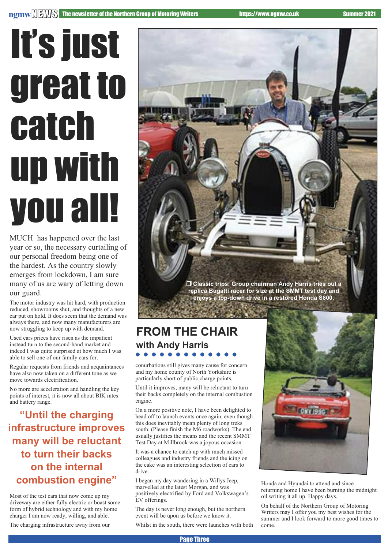# It's just great to catch up with you all!

MUCH has happened over the last year or so, the necessary curtailing of our personal freedom being one of the hardest. As the country slowly emerges from lockdown, I am sure many of us are wary of letting down our guard.

The motor industry was hit hard, with production reduced, showrooms shut, and thoughts of a new car put on hold. It does seem that the demand was always there, and now many manufacturers are now struggling to keep up with demand.

Used cars prices have risen as the impatient instead turn to the second-hand market and indeed I was quite surprised at how much I was able to sell one of our family cars for.

Regular requests from friends and acquaintances have also now taken on a different tone as we move towards electrification.

No more are acceleration and handling the key points of interest, it is now all about BIK rates and battery range.

**"Until the charging infrastructure improves many will be reluctant to turn their backs on the internal combustion engine"**

Most of the test cars that now come up my driveway are either fully electric or boast some form of hybrid technology and with my home charger I am now ready, willing, and able.

The charging infrastructure away from our



**replica Bugatti racer for size at the SMMT test day and enjoys a top-down drive in a restored Honda S800.**

### **FROM THE CHAIR with Andy Harris**

conurbations still gives many cause for concern and my home county of North Yorkshire is particularly short of public charge points.

Until it improves, many will be reluctant to turn their backs completely on the internal combustion engine.

On a more positive note, I have been delighted to head off to launch events once again, even though this does inevitably mean plenty of long treks south. (Please finish the M6 roadworks). The end usually justifies the means and the recent SMMT Test Day at Millbrook was a joyous occasion.

It was a chance to catch up with much missed colleagues and industry friends and the icing on the cake was an interesting selection of cars to drive.

I began my day wandering in a Willys Jeep, marvelled at the latest Morgan, and was positively electrified by Ford and Volkswagen's EV offerings.

The day is never long enough, but the northern event will be upon us before we know it.

Whilst in the south, there were launches with both



Honda and Hyundai to attend and since returning home I have been burning the midnight oil writing it all up. Happy days.

On behalf of the Northern Group of Motoring Writers may I offer you my best wishes for the summer and I look forward to more good times to come.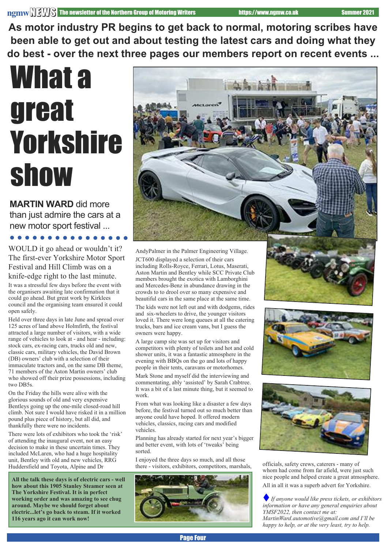**As motor industry PR begins to get back to normal, motoring scribes have been able to get out and about testing the latest cars and doing what they do best - over the next three pages our members report on recent events ...**

## What a great **Yorkshire** show

**MARTIN WARD** did more than just admire the cars at a new motor sport festival ...

WOULD it go ahead or wouldn't it? The first-ever Yorkshire Motor Sport Festival and Hill Climb was on a knife-edge right to the last minute.

It was a stressful few days before the event with the organisers awaiting late confirmation that it could go ahead. But great work by Kirklees council and the organising team ensured it could open safely.

Held over three days in late June and spread over 125 acres of land above Holmfirth, the festival attracted a large number of visitors, with a wide range of vehicles to look at - and hear - including: stock cars, ex-racing cars, trucks old and new, classic cars, military vehicles, the David Brown (DB) owners' club with a selection of their immaculate tractors and, on the same DB theme, 71 members of the Aston Martin owners' club who showed off their prize possessions, including two DB5s.

On the Friday the hills were alive with the glorious sounds of old and very expensive Bentleys going up the one-mile closed-road hill climb. Not sure I would have risked it in a million pound plus piece of history, but all did, and thankfully there were no incidents.

There were lots of exhibitors who took the 'risk' of attending the inaugural event, not an easy decision to make in these uncertain times. They included McLaren, who had a huge hospitality unit, Bentley with old and new vehicles, RRG Huddersfield and Toyota, Alpine and Dr

**All the talk these days is of electric cars - well how about this 1905 Stanley Steamer seen at The Yorkshire Festival. It is in perfect working order and was amazing to see chug around. Maybe we should forget about electric...let's go back to steam. If it worked 116 years ago it can work now!**



AndyPalmer in the Palmer Engineering Village. JCT600 displayed a selection of their cars including Rolls-Royce, Ferrari, Lotus, Maserati, Aston Martin and Bentley while SCC Private Club members brought the exotica with Lamborghini and Mercedes-Benz in abundance drawing in the crowds to to drool over so many expensive and beautiful cars in the same place at the same time.

The kids were not left out and with dodgems, rides and six-wheelers to drive, the younger visitors loved it. There were long queues at all the catering trucks, bars and ice cream vans, but I guess the owners were happy.

A large camp site was set up for visitors and competitors with plenty of toilets and hot and cold shower units, it was a fantastic atmosphere in the evening with BBQs on the go and lots of happy people in their tents, caravans or motorhomes.

Mark Stone and myself did the interviewing and commentating, ably 'assisted' by Sarah Crabtree. It was a bit of a last minute thing, but it seemed to work.

From what was looking like a disaster a few days before, the festival turned out so much better than anyone could have hoped. It offered modern vehicles, classics, racing cars and modified vehicles.

Planning has already started for next year's bigger and better event, with lots of 'tweaks' being sorted.

I enjoyed the three days so much, and all those there - visitors, exhibitors, competitors, marshals, officials, safety crews, caterers - many of









whom had come from far afield, were just such nice people and helped create a great atmosphere. All in all it was a superb advert for Yorkshire.

t*If anyone would like press tickets, or exhibitors information or have any general enquiries about YMSF2022, then contact me at: MartinWard.automotive@gmail.com and I'll be happy to help, or at the very least, try to help.*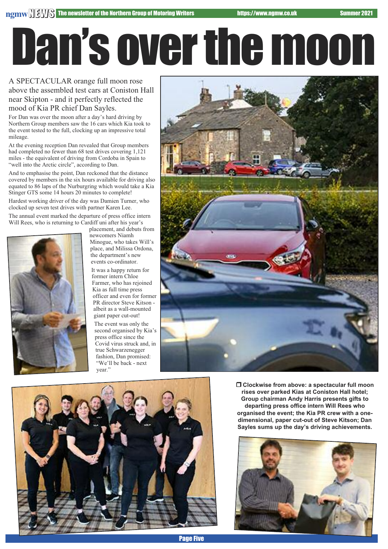Dan'soverthemoon

A SPECTACULAR orange full moon rose above the assembled test cars at Coniston Hall near Skipton - and it perfectly reflected the mood of Kia PR chief Dan Sayles.

For Dan was over the moon after a day's hard driving by Northern Group members saw the 16 cars which Kia took to the event tested to the full, clocking up an impressive total mileage.

At the evening reception Dan revealed that Group members had completed no fewer than 68 test drives covering 1,121 miles - the equivalent of driving from Cordoba in Spain to "well into the Arctic circle", according to Dan.

And to emphasise the point, Dan reckoned that the distance covered by members in the six hours available for driving also equated to 86 laps of the Nurburgring which would take a Kia Stinger GTS some 14 hours 20 minutes to complete!

Hardest working driver of the day was Damien Turner, who clocked up seven test drives with partner Karen Lee.

The annual event marked the departure of press office intern Will Rees, who is returning to Cardiff uni after his year's



placement, and debuts from newcomers Niamh Minogue, who takes Will's place, and Milissa Ordona, the department's new events co-ordinator.

It was a happy return for former intern Chloe Farmer, who has rejoined Kia as full time press officer and even for former PR director Steve Kitson albeit as a wall-mounted giant paper cut-out!

The event was only the second organised by Kia's press office since the Covid virus struck and, in true Schwarzenegger fashion, Dan promised: "We'll be back - next year."





r **Clockwise from above: a spectacular full moon rises over parked Kias at Coniston Hall hotel; Group chairman Andy Harris presents gifts to departing press office intern Will Rees who organised the event; the Kia PR crew with a onedimensional, paper cut-out of Steve Kitson; Dan Sayles sums up the day's driving achievements.**

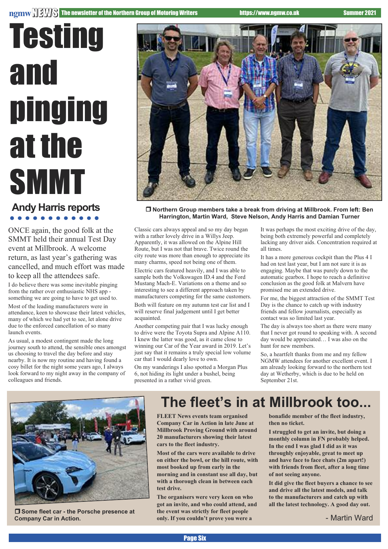# **Testing** and pinging at the SMMT

## **Andy Harris reports**

ONCE again, the good folk at the SMMT held their annual Test Day event at Millbrook. A welcome return, as last year's gathering was cancelled, and much effort was made to keep all the attendees safe.

I do believe there was some inevitable pinging from the rather over enthusiastic NHS app something we are going to have to get used to.

Most of the leading manufacturers were in attendance, keen to showcase their latest vehicles, many of which we had yet to see, let alone drive due to the enforced cancellation of so many launch events.

As usual, a modest contingent made the long journey south to attend, the sensible ones amongst us choosing to travel the day before and stay nearby. It is now my routine and having found a cosy billet for the night some years ago, I always look forward to my night away in the company of colleagues and friends.



r **Northern Group members take a break from driving at Millbrook. From left: Ben Harrington, Martin Ward, Steve Nelson, Andy Harris and Damian Turner**

Classic cars always appeal and so my day began with a rather lovely drive in a Willys Jeep. Apparently, it was allowed on the Alpine Hill Route, but I was not that brave. Twice round the city route was more than enough to appreciate its many charms, speed not being one of them.

Electric cars featured heavily, and I was able to sample both the Volkswagen ID.4 and the Ford Mustang Mach-E. Variations on a theme and so interesting to see a different approach taken by manufacturers competing for the same customers.

Both will feature on my autumn test car list and I will reserve final judgement until I get better acquainted.

Another competing pair that I was lucky enough to drive were the Toyota Supra and Alpine A110. I knew the latter was good, as it came close to winning our Car of the Year award in 2019. Let's just say that it remains a truly special low volume car that I would dearly love to own.

On my wanderings I also spotted a Morgan Plus 6, not hiding its light under a bushel, being presented in a rather vivid green.

It was perhaps the most exciting drive of the day, being both extremely powerful and completely lacking any driver aids. Concentration required at all times.

It has a more generous cockpit than the Plus 4 I had on test last year, but I am not sure it is as engaging. Maybe that was purely down to the automatic gearbox. I hope to reach a definitive conclusion as the good folk at Malvern have promised me an extended drive.

For me, the biggest attraction of the SMMT Test Day is the chance to catch up with industry friends and fellow journalists, especially as contact was so limited last year.

The day is always too short as there were many that I never got round to speaking with. A second day would be appreciated… I was also on the hunt for new members.

So, a heartfelt thanks from me and my fellow NGMW attendees for another excellent event. I am already looking forward to the northern test day at Wetherby, which is due to be held on September 21st.



r **Some fleet car - the Porsche presence at Company Car in Action.**

## **The fleet's in at Millbrook too...**

**FLEET News events team organised Company Car in Action in late June at Millbrook Proving Ground with around 20 manufacturers showing their latest cars to the fleet industry.**

**Most of the cars were available to drive on either the bowl, or the hill route, with most booked up from early in the morning and in constant use all day, but with a thorough clean in between each test drive.**

**The organisers were very keen on who got an invite, and who could attend, and the event was strictly for fleet people only. If you couldn't prove you were a**

**bonafide member of the fleet industry, then no ticket.**

**I struggled to get an invite, but doing a monthly column in FN probably helped. In the end I was glad I did as it was throughly enjoyable, great to meet up and have face to face chats (2m apart!) with friends from fleet, after a long time of not seeing anyone.**

**It did give the fleet buyers a chance to see and drive all the latest models, and talk to the manufacturers and catch up with all the latest technology. A good day out.**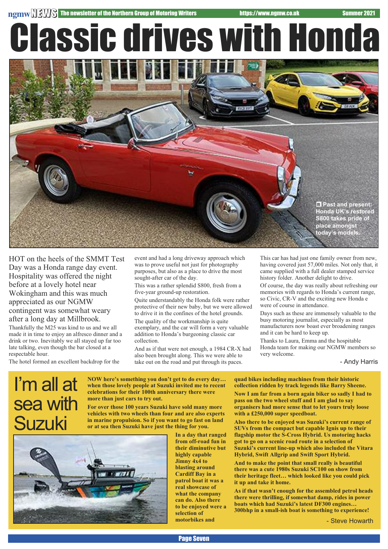Classic drives with Honda



HOT on the heels of the SMMT Test Day was a Honda range day event. Hospitality was offered the night before at a lovely hotel near Wokingham and this was much appreciated as our NGMW contingent was somewhat weary after a long day at Millbrook. Thankfully the M25 was kind to us and we all

made it in time to enjoy an alfresco dinner and a drink or two. Inevitably we all stayed up far too late talking, even though the bar closed at a respectable hour.

The hotel formed an excellent backdrop for the

event and had a long driveway approach which was to prove useful not just for photography purposes, but also as a place to drive the most sought-after car of the day.

This was a rather splendid S800, fresh from a five-year ground-up restoration.

Quite understandably the Honda folk were rather protective of their new baby, but we were allowed to drive it in the confines of the hotel grounds. The quality of the workmanship is quite exemplary, and the car will form a very valuable addition to Honda's burgeoning classic car collection.

And as if that were not enough, a 1984 CR-X had also been brought along. This we were able to take out on the road and put through its paces.

This car has had just one family owner from new, having covered just 57,000 miles. Not only that, it came supplied with a full dealer stamped service history folder. Another delight to drive.

Of course, the day was really about refreshing our memories with regards to Honda's current range, so Civic, CR-V and the exciting new Honda e were of course in attendance.

Days such as these are immensely valuable to the busy motoring journalist, especially as most manufacturers now boast ever broadening ranges and it can be hard to keep up.

Thanks to Laura, Emma and the hospitable Honda team for making our NGMW members so very welcome.

- Andy Harris

## I'm all at sea with Suzuki

**NOW here's something you don't get to do every day… when those lovely people at Suzuki invited me to recent celebrations for their 100th anniversary there were more than just cars to try out.**

**For over those 100 years Suzuki have sold many more vehicles with two wheels than four and are also experts in marine propulsion. So if you want to go fast on land or at sea then Suzuki have just the thing for you.**



**In a day that ranged from off-road fun in their diminutive but highly capable Jimny 4x4 to blasting around Cardiff Bay in a patrol boat it was a real showcase of what the company can do. Also there to be enjoyed were a selection of motorbikes and**

#### **quad bikes including machines from their historic collection ridden by track legends like Barry Sheene.**

**Now I am far from a born again biker so sadly I had to pass on the two wheel stuff and I am glad to say organisers had more sense that to let yours truly loose with a £250,000 super speedboat.**

**Also there to be enjoyed was Suzuki's current range of SUVs from the compact but capable Ignis up to their flagship motor the S-Cross Hybrid. Us motoring hacks got to go on a scenic road route in a selection of Suzuki's current line-up which also included the Vitara Hybrid, Swift Allgrip and Swift Sport Hybrid.**

**And to make the point that small really is beautiful there was a cute 1980s Suzuki SC100 on show from their heritage fleet… which looked like you could pick it up and take it home.**

**As if that wasn't enough for the assembled petrol heads there were thrilling, if somewhat damp, rides in power boats which had Suzuki's latest DF300 engines… 300bhp in a small-ish boat is something to experience!**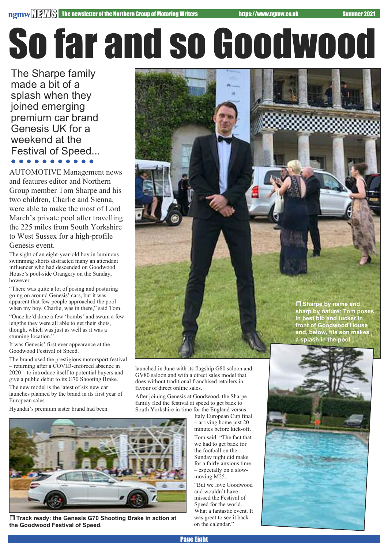# So far and so Goodwood

The Sharpe family made a bit of a splash when they joined emerging premium car brand Genesis UK for a weekend at the Festival of Speed...

AUTOMOTIVE Management news and features editor and Northern Group member Tom Sharpe and his two children, Charlie and Sienna, were able to make the most of Lord March's private pool after travelling the 225 miles from South Yorkshire to West Sussex for a high-profile Genesis event.

The sight of an eight-year-old boy in luminous swimming shorts distracted many an attendant influencer who had descended on Goodwood House's pool-side Orangery on the Sunday, however.

"There was quite a lot of posing and posturing going on around Genesis' cars, but it was apparent that few people approached the pool when my boy, Charlie, was in there," said Tom.

"Once he'd done a few 'bombs' and swum a few lengths they were all able to get their shots, though, which was just as well as it was a stunning location."

It was Genesis' first ever appearance at the Goodwood Festival of Speed.

The brand used the prestigious motorsport festival – returning after a COVID-enforced absence in 2020 – to introduce itself to potential buyers and give a public debut to its G70 Shooting Brake.

The new model is the latest of six new car launches planned by the brand in its first year of European sales.

Hyundai's premium sister brand had been

launched in June with its flagship G80 saloon and GV80 saloon and with a direct sales model that does without traditional franchised retailers in favour of direct online sales.

After joining Genesis at Goodwood, the Sharpe family fled the festival at speed to get back to South Yorkshire in time for the England versus

Italy European Cup final – arriving home just 20 minutes before kick-off. Tom said: "The fact that we had to get back for the football on the Sunday night did make for a fairly anxious time – especially on a slowmoving M25.

"But we love Goodwood and wouldn't have missed the Festival of Speed for the world. What a fantastic event. It was great to see it back on the calendar."

r **Sharpe by name and sharp by nature: Tom poses in best bib and tucker in front of Goodwood House and, below, his son makes a splash in the pool.**





r **Track ready: the Genesis G70 Shooting Brake in action at the Goodwood Festival of Speed.**

Page Eight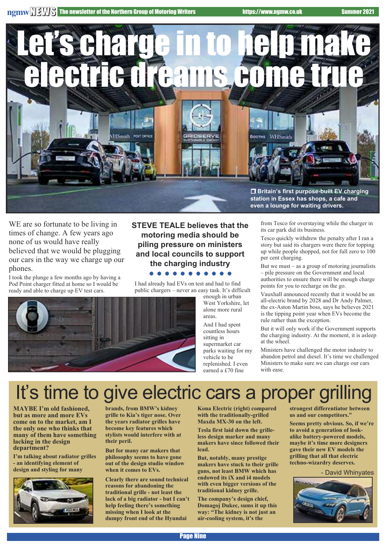**ngmwNEWS** The newsletter of the Northern Group of Motoring Writers https://www.ngmw.co.uk Summer 2021



WE are so fortunate to be living in times of change. A few years ago none of us would have really believed that we would be plugging our cars in the way we charge up our phones.

I took the plunge a few months ago by having a Pod Point charger fitted at home so I would be ready and able to charge up EV test cars.

#### **STEVE TEALE believes that the motoring media should be piling pressure on ministers and local councils to support the charging industry**

#### . . . . . . . . . . .

I had already had EVs on test and had to find public chargers – never an easy task. It's difficult



enough in urban West Yorkshire, let alone more rural areas.

And I had spent countless hours sitting in supermarket car parks waiting for my vehicle to be replenished. I even earned a £70 fine

from Tesco for overstaying while the charger in its car park did its business.

Tesco quickly withdrew the penalty after I ran a story but said its chargers were there for topping up while people shopped, not for full zero to 100 per cent charging.

But we must – as a group of motoring journalists – pile pressure on the Government and local authorities to ensure there will be enough charge points for you to recharge on the go.

Vauxhall announced recently that it would be an all-electric brand by 2028 and Dr Andy Palmer, the ex-Aston Martin boss, says he believes 2021 is the tipping point year when EVs become the rule rather than the exception.

But it will only work if the Government supports the charging industry. At the moment, it is asleep at the wheel.

Ministers have challenged the motor industry to abandon petrol and diesel. It's time we challenged Ministers to make sure we can charge our cars with ease.

## It's time to give electric cars a proper grilling

**MAYBE I'm old fashioned, but as more and more EVs come on to the market, am I the only one who thinks that many of them have something lacking in the design department?**

**I'm talking about radiator grilles - an identifying element of design and styling for many**



**brands, from BMW's kidney grille to Kia's tiger nose. Over the years radiator grilles have become key features which stylists would interfere with at their peril.**

**But for many car makers that philosophy seems to have gone out of the design studio window when it comes to EVs.**

**Clearly there are sound technical reasons for abandoning the traditional grille - not least the lack of a big radiator - but I can't help feeling there's something missing when I look at the dumpy front end of the Hyundai**

**Kona Electric (right) compared with the traditionally-grilled Maxda MX-30 on the left.**

**Tesla first laid down the grilleless design marker and many makers have since followed their lead.**

**But, notably, many prestige makers have stuck to their grille guns, not least BMW which has endowed its iX and i4 models with even bigger versions of the traditional kidney grille.**

**The company's design chief, Domagoj Dukec, sums it up this way: "The kidney is not just an air-cooling system, it's the**

**strongest differentiator between us and our competitors."**

**Seems pretty obvious. So, if we're to avoid a generation of lookalike battery-powered models, maybe it's time more designers gave their new EV models the grilling that all that electric techno-wizardry deserves.**

- David Whinyates

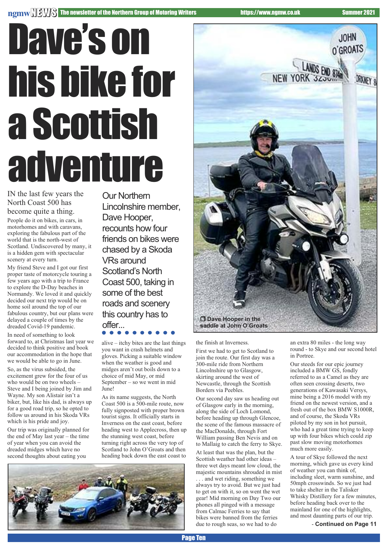#### **ngmwNEWS** The newsletter of the Northern Group of Motoring Writers https://www.ngmw.co.uk Summer 2021

# Dave's on hisbikefor aScottish adventure

IN the last few years the North Coast 500 has become quite a thing.

People do it on bikes, in cars, in motorhomes and with caravans, exploring the fabulous part of the world that is the north-west of Scotland. Undiscovered by many, it is a hidden gem with spectacular scenery at every turn.

My friend Steve and I got our first proper taste of motorcycle touring a few years ago with a trip to France to explore the D-Day beaches in Normandy. We loved it and quickly decided our next trip would be on home soil around the top of our fabulous country, but our plans were delayed a couple of times by the dreaded Covid-19 pandemic.

In need of something to look forward to, at Christmas last year we decided to think positive and book our accommodation in the hope that we would be able to go in June.

So, as the virus subsided, the excitement grew for the four of us who would be on two wheels – Steve and I being joined by Jim and Wayne. My son Alistair isn't a biker, but, like his dad, is always up for a good road trip, so he opted to follow us around in his Skoda VRs which is his pride and joy.

Our trip was originally planned for the end of May last year – the time of year when you can avoid the dreaded midges which have no second thoughts about eating you

Our Northern Lincolnshire member, Dave Hooper, recounts how four friends on bikes were chased by a Skoda VRs around Scotland's North Coast 500, taking in some of the best roads and scenery this country has to **offer... offer... offer... offer... c offer... c offer... in offer... in o in o in o in o in o in o in** 

alive – itchy bites are the last things you want in crash helmets and gloves. Picking a suitable window when the weather is good and midges aren't out boils down to a choice of mid May, or mid September – so we went in mid June!

As its name suggests, the North Coast 500 is a 500-mile route, now fully signposted with proper brown tourist signs. It officially starts in Inverness on the east coast, before heading west to Applecross, then up the stunning west coast, before turning right across the very top of Scotland to John O'Groats and then heading back down the east coast to





the finish at Inverness.

First we had to get to Scotland to join the route. Our first day was a 300-mile ride from Northern Lincolnshire up to Glasgow, skirting around the west of Newcastle, through the Scottish Borders via Peebles.

Our second day saw us heading out of Glasgow early in the morning, along the side of Loch Lomond, before heading up through Glencoe, the scene of the famous massacre of the MacDonalds, through Fort William passing Ben Nevis and on to Mallaig to catch the ferry to Skye.

At least that was the plan, but the Scottish weather had other ideas – three wet days meant low cloud, the majestic mountains shrouded in mist . . . and wet riding, something we always try to avoid. But we just had to get on with it, so on went the wet gear! Mid morning on Day Two our phones all pinged with a message from Calmac Ferries to say that bikes were banned from the ferries due to rough seas, so we had to do

an extra 80 miles - the long way round - to Skye and our second hotel in Portree.

Our steeds for our epic journey included a BMW GS, fondly referred to as a Camel as they are often seen crossing deserts, two generations of Kawasaki Versys, mine being a 2016 model with my friend on the newest version, and a fresh out of the box BMW S1000R, and of course, the Skoda VRs piloted by my son in hot pursuit, who had a great time trying to keep up with four bikes which could zip past slow moving motorhomes much more easily.

A tour of Skye followed the next morning, which gave us every kind of weather you can think of, including sleet, warm sunshine, and 50mph crosswinds. So we just had to take shelter in the Talisker Whisky Distillery for a few minutes, before heading back over to the mainland for one of the highlights, and most daunting parts of our trip.

- **Continued on Page 11**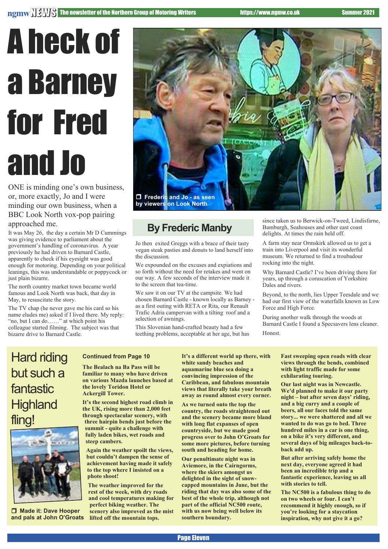# A heck of a Barney for Fred and Jo

ONE is minding one's own business, or, more exactly, Jo and I were minding our own business, when a BBC Look North vox-pop pairing approached me.

It was May 26, the day a certain Mr D Cummings was giving evidence to parliament about the government's handling of coronavirus. A year previously he had driven to Barnard Castle, apparently to check if his eyesight was good enough for motoring. Depending on your political leanings, this was understandable or poppycock or just plain bizarre.

The north country market town became world famous and Look North was back, that day in May, to resuscitate the story.

The TV chap (he never gave me his card so his name eludes me) asked if I lived there. My reply: "no, but I can do……" at which point his colleague started filming. The subject was that bizarre drive to Barnard Castle.



#### **By Frederic Manby**

Jo then exited Greggs with a brace of their tasty vegan steak pasties and donuts to land herself into the discussion.

We expounded on the excuses and expiations and so forth without the need for retakes and went on our way. A few seconds of the interview made it to the screen that tea-time.

We saw it on our TV at the campsite. We had chosen Barnard Castle - known locally as Barney as a first outing with RETA or Rita, our Renault Trafic Adria campervan with a tilting roof and a selection of awnings.

This Slovenian hand-crafted beauty had a few teething problems, acceptable at her age, but has since taken us to Berwick-on-Tweed, Lindisfarne, Bamburgh, Seahouses and other east coast delights. At times the rain held off.

A farm stay near Ormskirk allowed us to get a train into Liverpool and visit its wonderful museum. We returned to find a troubadour rocking into the night.

Why Barnard Castle? I've been driving there for years, up through a coruscation of Yorkshire Dales and rivers.

Beyond, to the north, lies Upper Teesdale and we had our first view of the waterfalls known as Low Force and High Force.

During another walk through the woods at Barnard Castle I found a Specsavers lens cleaner. Honest.

### Hard riding but such a fantastic **Highland** fling!



 $\Box$  Made it: Dave Hooper **and pals at John O'Groats**

#### **Continued from Page 10**

**The Bealach na Ba Pass will be familiar to many who have driven on various Mazda launches based at the lovely Toridon Hotel or Ackergill Tower.**

**It's the second highest road climb in the UK, rising more than 2,000 feet through spectacular scenery, with three hairpin bends just before the summit - quite a challenge with fully laden bikes, wet roads and steep cambers.**

**Again the weather spoilt the views, but couldn't dampen the sense of achievement having made it safely to the top where I insisted on a photo shoot!**

**The weather improved for the rest of the week, with dry roads and cool temperatures making for perfect biking weather. The scenery also improved as the mist lifted off the mountain tops.**

**It's a different world up there, with white sandy beaches and aquamarine blue sea doing a convincing impression of the Caribbean, and fabulous mountain views that literally take your breath away as round almost every corner.**

**As we turned onto the top the country, the roads straightened out and the scenery became more bland with long flat expanses of open countryside, but we made good progress over to John O'Groats for some more pictures, before turning south and heading for home.**

**Our penultimate night was in Aviemore, in the Cairngorms, where the skiers amongst us delighted in the sight of snowcapped mountains in June, but the riding that day was also some of the best of the whole trip, although not part of the official NC500 route, with us now being well below its southern boundary.**

**Fast sweeping open roads with clear views through the bends, combined with light traffic made for some exhilarating touring.**

**Our last night was in Newcastle. We'd planned to make it our party night – but after seven days' riding, and a big curry and a couple of beers, all our faces told the same story... we were shattered and all we wanted to do was go to bed. Three hundred miles in a car is one thing, on a bike it's very different, and several days of big mileages back-toback add up.**

**But after arriving safely home the next day, everyone agreed it had been an incredible trip and a fantastic experience, leaving us all with stories to tell.**

**The NC500 is a fabulous thing to do on two wheels or four. I can't recommend it highly enough, so if you're looking for a staycation inspiration, why not give it a go?**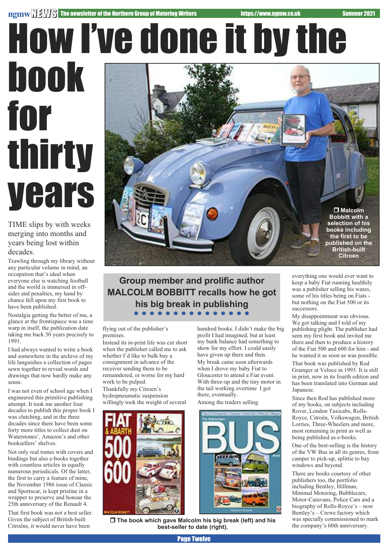# How I've done it by the book for thirty

# **vears**

TIME slips by with weeks merging into months and years being lost within decades.

Trawling through my library without any particular volume in mind, an occupation that's ideal when everyone else is watching football and the world is immersed in offsides and penalties, my hand by chance fell upon my first book to have been published.

Nostalgia getting the better of me, a glance at the frontispiece was a time warp in itself, the publication date taking me back 30 years precisely to 1991.

I had always wanted to write a book and somewhere in the archive of my life languishes a collection of pages sewn together to reveal words and drawings that now hardly make any sense.

I was not even of school age when I engineered this primitive publishing attempt. It took me another four decades to publish this proper book I was clutching, and in the three decades since there have been some forty more titles to collect dust on Waterstones', Amazon's and other booksellers' shelves.

Not only real tomes with covers and bindings but also e-books together with countless articles in equally numerous periodicals. Of the latter, the first to carry a feature of mine, the November 1986 issue of Classic and Sportscar, is kept pristine in a wrapper to preserve and honour the 25th anniversary of the Renault 4.

That first book was not a best seller. Given the subject of British-built Citroëns, it would never have been



#### **Group member and prolific author MALCOLM BOBBITT recalls how he got his big break in publishing**

flying out of the publisher's premises.

Instead its in-print life was cut short when the publisher called me to ask whether I'd like to bulk buy a consignment in advance of the receiver sending them to be remaindered, or worse for my hard work to be pulped. Thankfully my Citroen's hydropneumatic suspension willingly took the weight of several

hundred books. I didn't make the big profit I had imagined, but at least my bank balance had something to show for my effort. I could easily have given up there and then. My break came soon afterwards when I drove my baby Fiat to Gloucester to attend a Fiat event. With three-up and the tiny motor in the tail working overtime I got there, eventually.

Among the traders selling



r **The book which gave Malcolm his big break (left) and his best-seller to date (right).**

everything one would ever want to keep a baby Fiat running healthily was a publisher selling his wares, some of his titles being on Fiats but nothing on the Fiat 500 or its successors.

My disappointment was obvious. We got talking and I told of my publishing plight. The publisher had seen my first book and invited me there and then to produce a history of the Fiat 500 and 600 for him - and he wanted it as soon as was possible.

That book was published by Rod Grainger at Veloce in 1993. It is still in print, now in its fourth edition and has been translated into German and Japanese.

Since then Rod has published more of my books, on subjects including Rover, London Taxicabs, Rolls-Royce, Citroën, Volkswagen, British Lorries, Three-Wheelers and more, most remaining in print as well as being published as e-books.

One of the best-selling is the history of the VW Bus in all its genres, from camper to pick-up, splittie to bay windows and beyond.

There are books courtesy of other publishers too, the portfolio including Bentley, Hillman, Minimal Motoring, Bubblecars, Motor-Caravans, Police Cars and a biography of Rolls-Royce's – now Bentley's – Crewe factory which was specially commissioned to mark the company's 60th anniversary.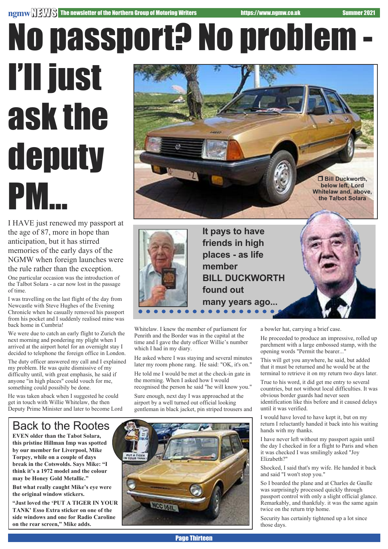# No passport? No problem -

# I'll just ask the deputy PM...

I HAVE just renewed my passport at the age of 87, more in hope than anticipation, but it has stirred memories of the early days of the NGMW when foreign launches were the rule rather than the exception.

One particular occasion was the introduction of the Talbot Solara - a car now lost in the passage of time.

I was travelling on the last flight of the day from Newcastle with Steve Hughes of the Evening Chronicle when he casually removed his passport from his pocket and I suddenly realised mine was back home in Cumbria!

We were due to catch an early flight to Zurich the next morning and pondering my plight when I arrived at the airport hotel for an overnight stay I decided to telephone the foreign office in London.

The duty officer answered my call and I explained my problem. He was quite dismissive of my difficulty until, with great emphasis, he said if anyone "in high places" could vouch for me, something could possibily be done.

He was taken aback when I suggested he could get in touch with Willie Whitelaw, the then Deputy Prime Minister and later to become Lord

# r **Bill Duckworth, below left, Lord Whitelaw and, above, the Talbot Solara**



**It pays to have friends in high places - as life member BILL DUCKWORTH found out many years ago...**

Whitelaw. I knew the member of parliament for Penrith and the Border was in the capital at the time and I gave the duty officer Willie's number which I had in my diary.

He asked where I was staying and several minutes later my room phone rang. He said: "OK, it's on."

He told me I would be met at the check-in gate in the morning. When I asked how I would recognised the person he said "he will know you."

Sure enough, next day I was approached at the airport by a well turned out official looking gentleman in black jacket, pin striped trousers and a bowler hat, carrying a brief case.

He proceeded to produce an impressive, rolled up parchment with a large embossed stamp, with the opening words "Permit the bearer..."

This will get you anywhere, he said, but added that it must be returned and he would be at the terminal to retrieve it on my return two days later.

True to his word, it did get me entry to several countries, but not without local difficulties. It was obvious border guards had never seen identification like this before and it caused delays until it was verified.

I would have loved to have kept it, but on my return I reluctantly handed it back into his waiting hands with my thanks.

I have never left without my passport again until the day I checked in for a flight to Paris and when it was checked I was smilingly asked "Joy Elizabeth?"

Shocked, I said that's my wife. He handed it back and said "I won't stop you."

So I boarded the plane and at Charles de Gaulle was surprisingly processed quickly through passport control with only a slight official glance. Remarkably, and thankfuly. it was the same again twice on the return trip home.

Security has certainly tightened up a lot since those days.

### Back to the Rootes

**EVEN older than the Tabot Solara, this pristine Hillman Imp was spotted by our member for Liverpool, Mike Torpey, while on a couple of days break in the Cotswolds. Says Mike: "I think it's a 1972 model and the colour may be Honey Gold Metallic."**

**But what really caught Mike's eye were the original window stickers.**

**"Just loved the 'PUT A TIGER IN YOUR TANK' Esso Extra sticker on one of the side windows and one for Radio Caroline on the rear screen," Mike adds.**

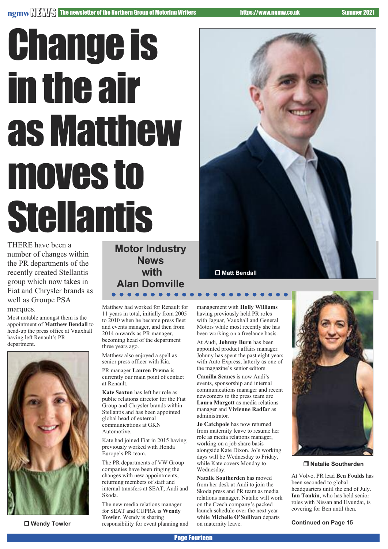# **Change is** in the air as Matthew moves to Stellantis

THERE have been a number of changes within the PR departments of the recently created Stellantis group which now takes in Fiat and Chrysler brands as well as Groupe PSA marques.

Most notable amongst them is the appointment of **Matthew Bendall** to head-up the press office at Vauxhall having left Renault's PR department.



**D** Wendy Towler

**Motor Industry News with Alan Domville**

Matthew had worked for Renault for 11 years in total, initially from 2005 to 2010 when he became press fleet and events manager, and then from 2014 onwards as PR manager, becoming head of the department three years ago.

Matthew also enjoyed a spell as senior press officer with Kia.

PR manager **Lauren Prema** is currently our main point of contact at Renault.

**Kate Saxton** has left her role as public relations director for the Fiat Group and Chrysler brands within Stellantis and has been appointed global head of external communications at GKN Automotive.

Kate had joined Fiat in 2015 having previously worked with Honda Europe's PR team.

The PR departments of VW Group companies have been ringing the changes with new appointments, returning members of staff and internal transfers at SEAT, Audi and Skoda.

The new media relations manager for SEAT and CUPRA is **Wendy Towler**. Wendy is sharing responsibility for event planning and management with **Holly Williams** having previously held PR roles with Jaguar, Vauxhall and General Motors while most recently she has been working on a freelance basis.

At Audi, **Johnny Burn** has been appointed product affairs manager. Johnny has spent the past eight years with Auto Express, latterly as one of the magazine's senior editors.

**Camilla Scanes** is now Audi's events, sponsorship and internal communications manager and recent newcomers to the press team are **Laura Margott** as media relations manager and **Vivienne Radfar** as administrator.

**Jo Catchpole** has now returned from maternity leave to resume her role as media relations manager, working on a job share basis alongside Kate Dixon. Jo's working days will be Wednesday to Friday, while Kate covers Monday to Wednesday.

**Natalie Southerden** has moved from her desk at Audi to join the Skoda press and PR team as media relations manager. Natalie will work on the Czech company's packed launch schedule over the next year while **Michelle O'Sullivan** departs on maternity leave.





r **Natalie Southerden**

At Volvo, PR lead **Ben Foulds** has been seconded to global headquarters until the end of July. **Ian Tonkin**, who has held senior roles with Nissan and Hyundai, is covering for Ben until then.

**Continued on Page 15**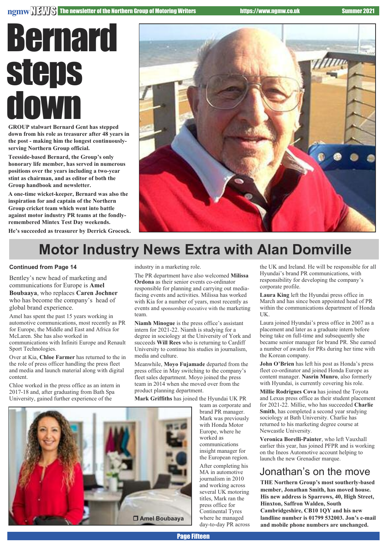## Bernard **steps** down

**GROUP stalwart Bernard Gent has stepped down from his role as treasurer after 48 years in the post - making him the longest continuouslyserving Northern Group official.**

**Teesside-based Bernard, the Group's only honorary life member, has served in numerous positions over the years including a two-year stint as chairman, and as editor of both the Group handbook and newsletter.**

**A one-time wicket-keeper, Bernard was also the inspiration for and captain of the Northern Group cricket team which went into battle against motor industry PR teams at the fondlyremembered Mintex Test Day weekends.**

**He's succeeded as treasurer by Derrick Grocock.**



## **Motor Industry News Extra with Alan Domville**

#### **Continued from Page 14**

Bentley's new head of marketing and communications for Europe is **Amel Boubaaya**, who replaces **Caren Jochner**

who has become the company's head of global brand experience.

Amel has spent the past 15 years working in automotive communications, most recently as PR for Europe, the Middle and East and Africa for McLaren. She has also worked in communications with Infiniti Europe and Renault Sport Technologies.

Over at Kia, **Chloe Farmer** has returned to the in the role of press officer handling the press fleet and media and launch material along with digital content.

Chloe worked in the press office as an intern in 2017-18 and, after graduating from Bath Spa University, gained further experience of the

industry in a marketing role.

The PR department have also welcomed **Milissa Ordona** as their senior events co-ordinator responsible for planning and carrying out mediafacing events and activities. Milissa has worked with Kia for a number of years, most recently as events and sponsorship executive with the marketing team.

**Niamh Minogue** is the press office's assistant intern for 2021-22. Niamh is studying for a degree in sociology at the University of York and succeeds **Will Rees** who is returning to Cardiff University to continue his studies in journalism, media and culture.

Meanwhile, **Moyo Fujamade** departed from the press office in May switching to the company's fleet sales department. Moyo joined the press team in 2014 when she moved over from the product planning department.

**Mark Griffiths** has joined the Hyundai UK PR

team as corporate and brand PR manager. Mark was previously with Honda Motor Europe, where he worked as communications insight manager for the European region. After completing his MA in automotive journalism in 2010 and working across several UK motoring titles, Mark ran the press office for Continental Tyres where he managed day-to-day PR across

the UK and Ireland. He will be responsible for all Hyundai's brand PR communications, with responsibility for developing the company's corporate profile.

**Laura King** left the Hyundai press office in March and has since been appointed head of PR within the communications department of Honda UK.

Laura joined Hyundai's press office in 2007 as a placement and later as a graduate intern before being take on full-time and subsequently she became senior manager for brand PR. She earned a number of awards for PRs during her time with the Korean company.

**John O'Brien** has left his post as Honda's press fleet co-ordinator and joined Honda Europe as content manager. **Nasrin Munro**, also formerly with Hyundai, is currently covering his role.

**Millie Rodrigues Cova** has joined the Toyota and Lexus press office as their student placement for 2021-22. Millie, who has succeeded **Charlie Smith**, has completed a second year srudying sociology at Bath University. Charlie has returned to his marketing degree course at Newcastle University.

**Veronica Borelli-Painter**, who left Vauxhall earlier this year, has joined PFPR and is working on the Ineos Automotive account helping to launch the new Grenadier marque.

#### Jonathan's on the move

**THE Northern Group's most southerly-based member, Jonathan Smith, has moved house. His new address is Sparrows, 40, High Street, Hinxton, Saffron Walden, South Cambridgeshire, CB10 1QY and his new landline number is 01799 532003. Jon's e-mail and mobile phone numbers are unchanged.**